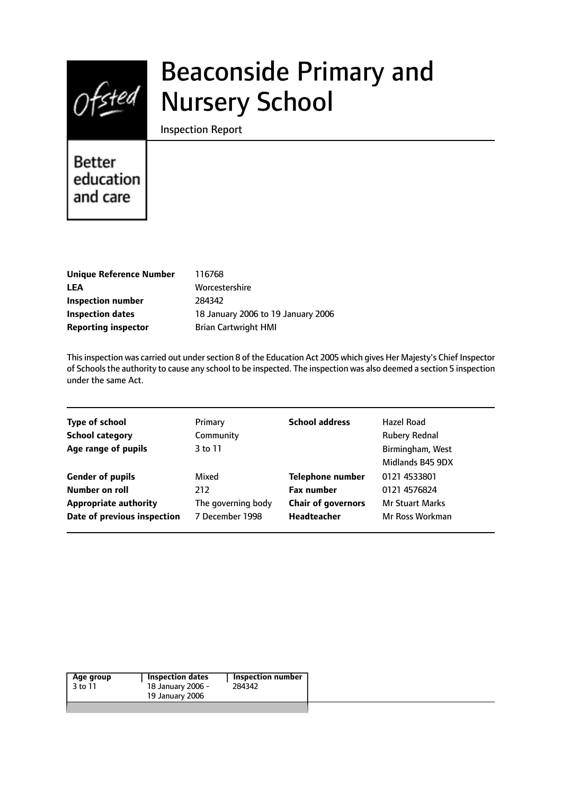

# Beaconside Primary and Nursery School

Inspection Report

# **Better** education and care

| <b>Unique Reference Number</b> |
|--------------------------------|
| LEA                            |
| Inspection number              |
| <b>Inspection dates</b>        |
| <b>Reporting inspector</b>     |

**Unique Reference Number** 116768 **LEA** Worcestershire **Inspection number** 284342 **Inspection dates** 18 January 2006 to 19 January 2006 **Brian Cartwright HMI** 

This inspection was carried out under section 8 of the Education Act 2005 which gives Her Majesty's Chief Inspector of Schoolsthe authority to cause any school to be inspected. The inspection was also deemed a section 5 inspection under the same Act.

| <b>Type of school</b>        | Primary            | <b>School address</b>     | Hazel Road             |
|------------------------------|--------------------|---------------------------|------------------------|
| <b>School category</b>       | Community          |                           | <b>Rubery Rednal</b>   |
| Age range of pupils          | 3 to 11            |                           | Birmingham, West       |
|                              |                    |                           | Midlands B45 9DX       |
| <b>Gender of pupils</b>      | Mixed              | <b>Telephone number</b>   | 0121 4533801           |
| Number on roll               | 212                | <b>Fax number</b>         | 0121 4576824           |
| <b>Appropriate authority</b> | The governing body | <b>Chair of governors</b> | <b>Mr Stuart Marks</b> |
| Date of previous inspection  | 7 December 1998    | Headteacher               | Mr Ross Workman        |
|                              |                    |                           |                        |

| Age group | Inspection dates                     | Inspection number |
|-----------|--------------------------------------|-------------------|
| 3 to 11   | 18 January 2006 -<br>19 January 2006 | 284342            |
|           |                                      |                   |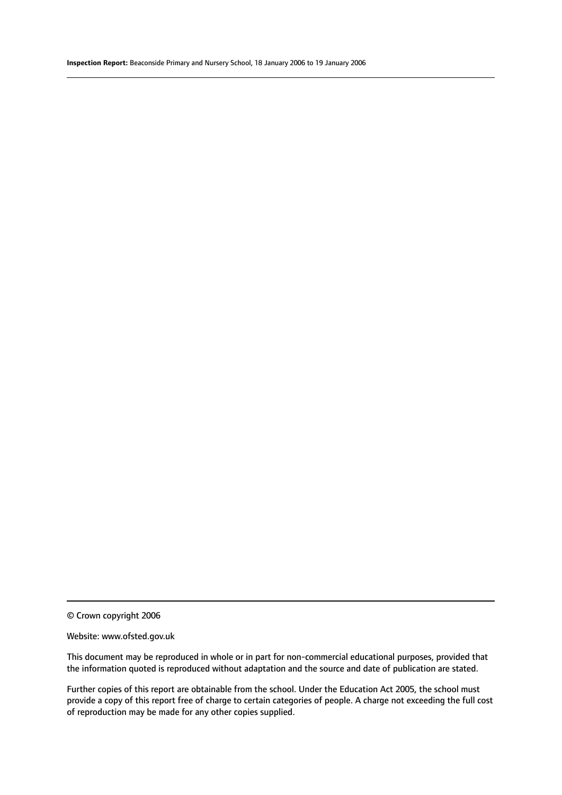© Crown copyright 2006

#### Website: www.ofsted.gov.uk

This document may be reproduced in whole or in part for non-commercial educational purposes, provided that the information quoted is reproduced without adaptation and the source and date of publication are stated.

Further copies of this report are obtainable from the school. Under the Education Act 2005, the school must provide a copy of this report free of charge to certain categories of people. A charge not exceeding the full cost of reproduction may be made for any other copies supplied.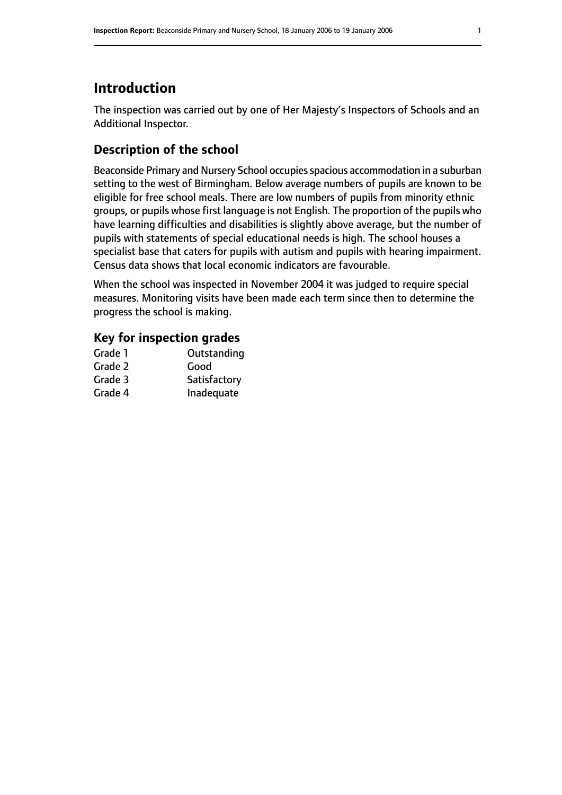# **Introduction**

The inspection was carried out by one of Her Majesty's Inspectors of Schools and an Additional Inspector.

# **Description of the school**

Beaconside Primary and Nursery School occupies spacious accommodation in a suburban setting to the west of Birmingham. Below average numbers of pupils are known to be eligible for free school meals. There are low numbers of pupils from minority ethnic groups, or pupils whose first language is not English. The proportion of the pupils who have learning difficulties and disabilities is slightly above average, but the number of pupils with statements of special educational needs is high. The school houses a specialist base that caters for pupils with autism and pupils with hearing impairment. Census data shows that local economic indicators are favourable.

When the school was inspected in November 2004 it was judged to require special measures. Monitoring visits have been made each term since then to determine the progress the school is making.

#### **Key for inspection grades**

| Grade 1 | Outstanding  |
|---------|--------------|
| Grade 2 | Good         |
| Grade 3 | Satisfactory |
| Grade 4 | Inadequate   |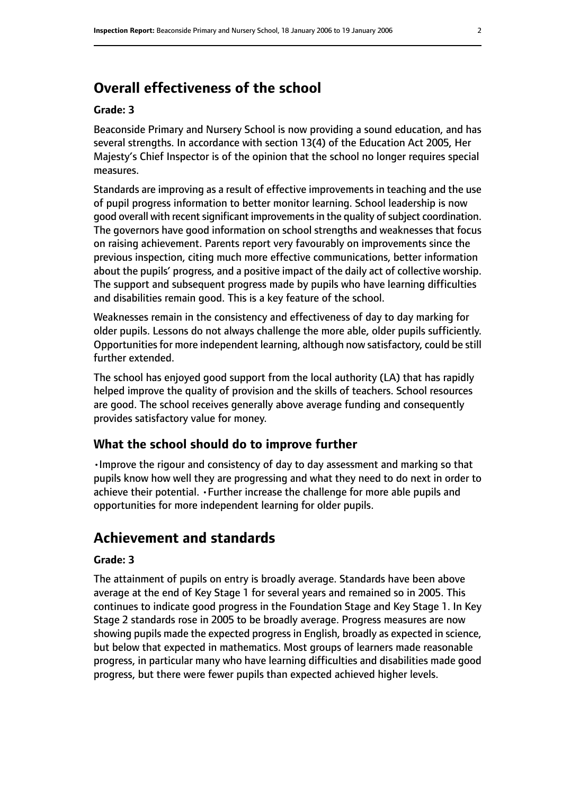# **Overall effectiveness of the school**

#### **Grade: 3**

Beaconside Primary and Nursery School is now providing a sound education, and has several strengths. In accordance with section 13(4) of the Education Act 2005, Her Majesty's Chief Inspector is of the opinion that the school no longer requires special measures.

Standards are improving as a result of effective improvements in teaching and the use of pupil progress information to better monitor learning. School leadership is now good overall with recent significant improvements in the quality of subject coordination. The governors have good information on school strengths and weaknesses that focus on raising achievement. Parents report very favourably on improvements since the previous inspection, citing much more effective communications, better information about the pupils' progress, and a positive impact of the daily act of collective worship. The support and subsequent progress made by pupils who have learning difficulties and disabilities remain good. This is a key feature of the school.

Weaknesses remain in the consistency and effectiveness of day to day marking for older pupils. Lessons do not always challenge the more able, older pupils sufficiently. Opportunities for more independent learning, although now satisfactory, could be still further extended.

The school has enjoyed good support from the local authority (LA) that has rapidly helped improve the quality of provision and the skills of teachers. School resources are good. The school receives generally above average funding and consequently provides satisfactory value for money.

#### **What the school should do to improve further**

•Improve the rigour and consistency of day to day assessment and marking so that pupils know how well they are progressing and what they need to do next in order to achieve their potential. •Further increase the challenge for more able pupils and opportunities for more independent learning for older pupils.

# **Achievement and standards**

#### **Grade: 3**

The attainment of pupils on entry is broadly average. Standards have been above average at the end of Key Stage 1 for several years and remained so in 2005. This continues to indicate good progress in the Foundation Stage and Key Stage 1. In Key Stage 2 standards rose in 2005 to be broadly average. Progress measures are now showing pupils made the expected progress in English, broadly as expected in science, but below that expected in mathematics. Most groups of learners made reasonable progress, in particular many who have learning difficulties and disabilities made good progress, but there were fewer pupils than expected achieved higher levels.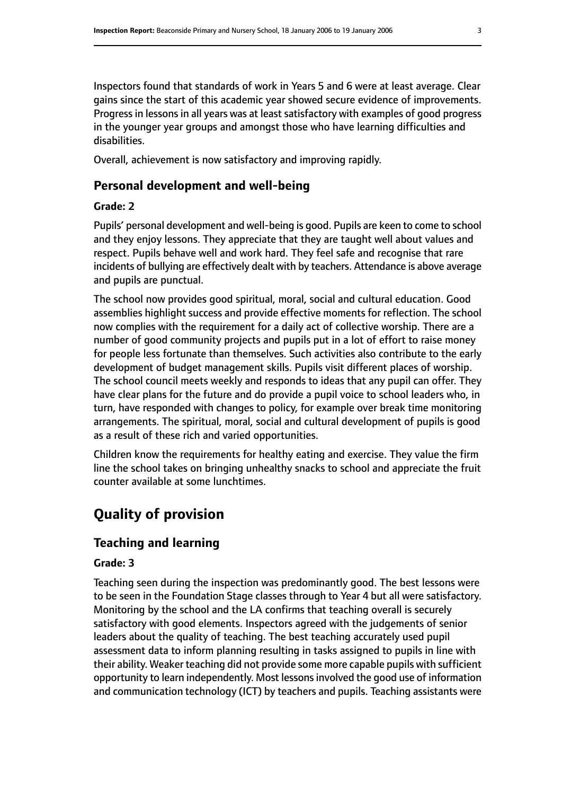Inspectors found that standards of work in Years 5 and 6 were at least average. Clear gains since the start of this academic year showed secure evidence of improvements. Progress in lessons in all years was at least satisfactory with examples of good progress in the younger year groups and amongst those who have learning difficulties and disabilities.

Overall, achievement is now satisfactory and improving rapidly.

#### **Personal development and well-being**

#### **Grade: 2**

Pupils' personal development and well-being is good. Pupils are keen to come to school and they enjoy lessons. They appreciate that they are taught well about values and respect. Pupils behave well and work hard. They feel safe and recognise that rare incidents of bullying are effectively dealt with by teachers. Attendance is above average and pupils are punctual.

The school now provides good spiritual, moral, social and cultural education. Good assemblies highlight success and provide effective moments for reflection. The school now complies with the requirement for a daily act of collective worship. There are a number of good community projects and pupils put in a lot of effort to raise money for people less fortunate than themselves. Such activities also contribute to the early development of budget management skills. Pupils visit different places of worship. The school council meets weekly and responds to ideas that any pupil can offer. They have clear plans for the future and do provide a pupil voice to school leaders who, in turn, have responded with changes to policy, for example over break time monitoring arrangements. The spiritual, moral, social and cultural development of pupils is good as a result of these rich and varied opportunities.

Children know the requirements for healthy eating and exercise. They value the firm line the school takes on bringing unhealthy snacks to school and appreciate the fruit counter available at some lunchtimes.

# **Quality of provision**

# **Teaching and learning**

#### **Grade: 3**

Teaching seen during the inspection was predominantly good. The best lessons were to be seen in the Foundation Stage classes through to Year 4 but all were satisfactory. Monitoring by the school and the LA confirms that teaching overall is securely satisfactory with good elements. Inspectors agreed with the judgements of senior leaders about the quality of teaching. The best teaching accurately used pupil assessment data to inform planning resulting in tasks assigned to pupils in line with their ability. Weaker teaching did not provide some more capable pupils with sufficient opportunity to learn independently. Most lessonsinvolved the good use of information and communication technology (ICT) by teachers and pupils. Teaching assistants were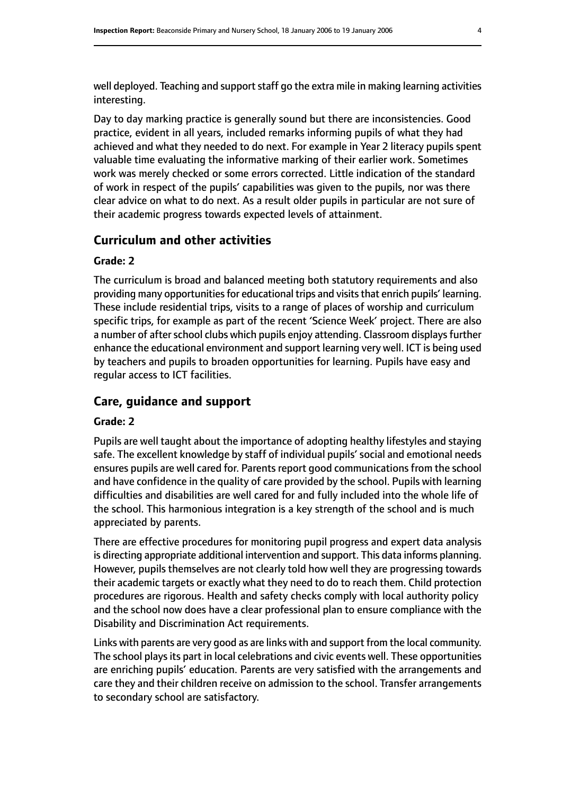well deployed. Teaching and support staff go the extra mile in making learning activities interesting.

Day to day marking practice is generally sound but there are inconsistencies. Good practice, evident in all years, included remarks informing pupils of what they had achieved and what they needed to do next. For example in Year 2 literacy pupils spent valuable time evaluating the informative marking of their earlier work. Sometimes work was merely checked or some errors corrected. Little indication of the standard of work in respect of the pupils' capabilities was given to the pupils, nor was there clear advice on what to do next. As a result older pupils in particular are not sure of their academic progress towards expected levels of attainment.

#### **Curriculum and other activities**

#### **Grade: 2**

The curriculum is broad and balanced meeting both statutory requirements and also providing many opportunities for educational trips and visits that enrich pupils' learning. These include residential trips, visits to a range of places of worship and curriculum specific trips, for example as part of the recent 'Science Week' project. There are also a number of after school clubs which pupils enjoy attending. Classroom displays further enhance the educational environment and support learning very well. ICT is being used by teachers and pupils to broaden opportunities for learning. Pupils have easy and regular access to ICT facilities.

#### **Care, guidance and support**

#### **Grade: 2**

Pupils are well taught about the importance of adopting healthy lifestyles and staying safe. The excellent knowledge by staff of individual pupils' social and emotional needs ensures pupils are well cared for. Parents report good communications from the school and have confidence in the quality of care provided by the school. Pupils with learning difficulties and disabilities are well cared for and fully included into the whole life of the school. This harmonious integration is a key strength of the school and is much appreciated by parents.

There are effective procedures for monitoring pupil progress and expert data analysis is directing appropriate additional intervention and support. This data informs planning. However, pupils themselves are not clearly told how well they are progressing towards their academic targets or exactly what they need to do to reach them. Child protection procedures are rigorous. Health and safety checks comply with local authority policy and the school now does have a clear professional plan to ensure compliance with the Disability and Discrimination Act requirements.

Links with parents are very good as are links with and support from the local community. The school plays its part in local celebrations and civic events well. These opportunities are enriching pupils' education. Parents are very satisfied with the arrangements and care they and their children receive on admission to the school. Transfer arrangements to secondary school are satisfactory.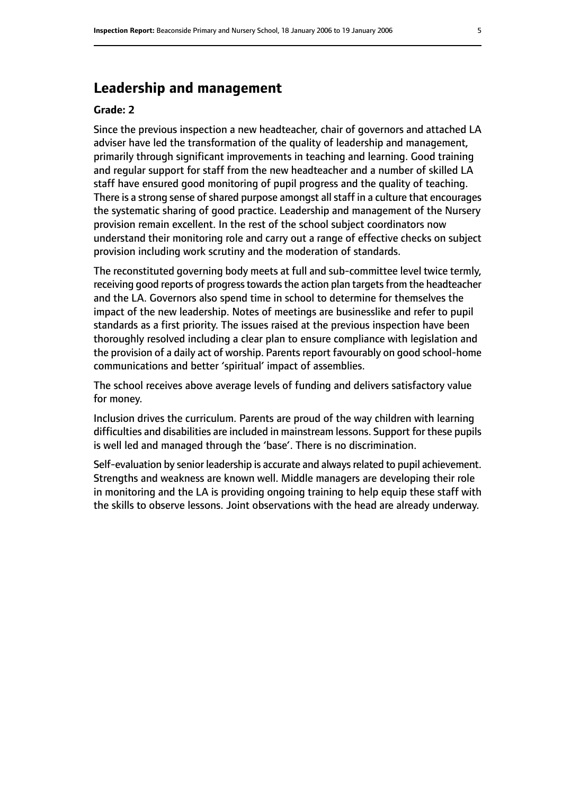# **Leadership and management**

#### **Grade: 2**

Since the previous inspection a new headteacher, chair of governors and attached LA adviser have led the transformation of the quality of leadership and management, primarily through significant improvements in teaching and learning. Good training and regular support for staff from the new headteacher and a number of skilled LA staff have ensured good monitoring of pupil progress and the quality of teaching. There is a strong sense of shared purpose amongst all staff in a culture that encourages the systematic sharing of good practice. Leadership and management of the Nursery provision remain excellent. In the rest of the school subject coordinators now understand their monitoring role and carry out a range of effective checks on subject provision including work scrutiny and the moderation of standards.

The reconstituted governing body meets at full and sub-committee level twice termly, receiving good reports of progress towards the action plan targets from the headteacher and the LA. Governors also spend time in school to determine for themselves the impact of the new leadership. Notes of meetings are businesslike and refer to pupil standards as a first priority. The issues raised at the previous inspection have been thoroughly resolved including a clear plan to ensure compliance with legislation and the provision of a daily act of worship. Parents report favourably on good school-home communications and better 'spiritual' impact of assemblies.

The school receives above average levels of funding and delivers satisfactory value for money.

Inclusion drives the curriculum. Parents are proud of the way children with learning difficulties and disabilities are included in mainstream lessons. Support for these pupils is well led and managed through the 'base'. There is no discrimination.

Self-evaluation by senior leadership is accurate and always related to pupil achievement. Strengths and weakness are known well. Middle managers are developing their role in monitoring and the LA is providing ongoing training to help equip these staff with the skills to observe lessons. Joint observations with the head are already underway.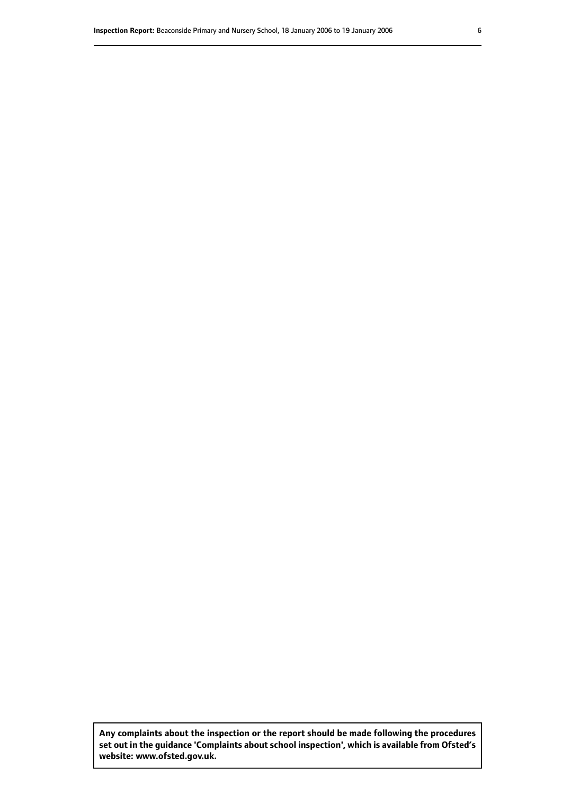**Any complaints about the inspection or the report should be made following the procedures set out inthe guidance 'Complaints about school inspection', whichis available from Ofsted's website: www.ofsted.gov.uk.**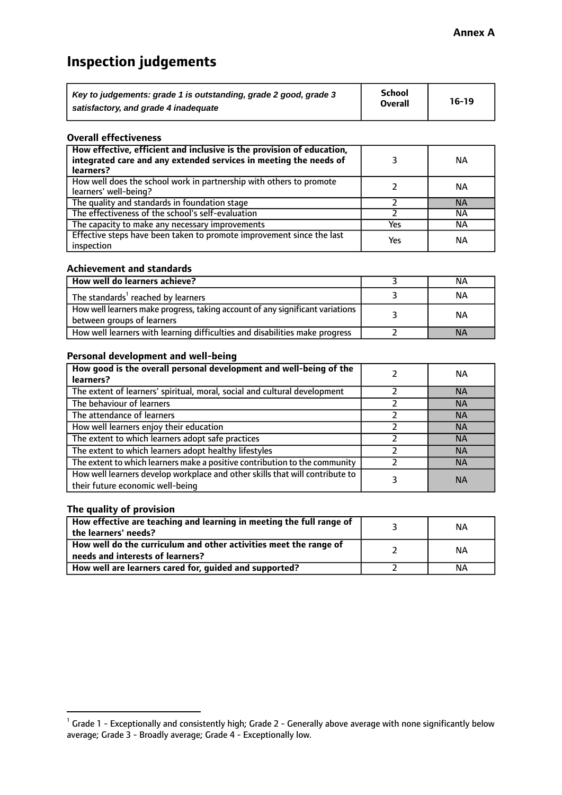# **Inspection judgements**

| Key to judgements: grade 1 is outstanding, grade 2 good, grade 3 | <b>School</b>  | $16-19$ |
|------------------------------------------------------------------|----------------|---------|
| satisfactory, and grade 4 inadequate                             | <b>Overall</b> |         |

#### **Overall effectiveness**

| How effective, efficient and inclusive is the provision of education,<br>integrated care and any extended services in meeting the needs of<br>learners? |     | <b>NA</b> |
|---------------------------------------------------------------------------------------------------------------------------------------------------------|-----|-----------|
| How well does the school work in partnership with others to promote<br>learners' well-being?                                                            |     | ΝA        |
| The quality and standards in foundation stage                                                                                                           |     | <b>NA</b> |
| The effectiveness of the school's self-evaluation                                                                                                       |     | ΝA        |
| The capacity to make any necessary improvements                                                                                                         | Yes | NА        |
| Effective steps have been taken to promote improvement since the last<br>inspection                                                                     | Yes | <b>NA</b> |

#### **Achievement and standards**

| How well do learners achieve?                                                                               | ΝA        |
|-------------------------------------------------------------------------------------------------------------|-----------|
| The standards <sup>1</sup> reached by learners                                                              | NА        |
| How well learners make progress, taking account of any significant variations<br>between groups of learners | <b>NA</b> |
| How well learners with learning difficulties and disabilities make progress                                 | <b>NA</b> |

#### **Personal development and well-being**

| How good is the overall personal development and well-being of the<br>learners?                                  | ΝA        |
|------------------------------------------------------------------------------------------------------------------|-----------|
| The extent of learners' spiritual, moral, social and cultural development                                        | <b>NA</b> |
| The behaviour of learners                                                                                        | <b>NA</b> |
| The attendance of learners                                                                                       | <b>NA</b> |
| How well learners enjoy their education                                                                          | <b>NA</b> |
| The extent to which learners adopt safe practices                                                                | <b>NA</b> |
| The extent to which learners adopt healthy lifestyles                                                            | <b>NA</b> |
| The extent to which learners make a positive contribution to the community                                       | <b>NA</b> |
| How well learners develop workplace and other skills that will contribute to<br>their future economic well-being | <b>NA</b> |

#### **The quality of provision**

| How effective are teaching and learning in meeting the full range of<br>the learners' needs?          | ΝA |
|-------------------------------------------------------------------------------------------------------|----|
| How well do the curriculum and other activities meet the range of<br>needs and interests of learners? | ΝA |
| How well are learners cared for, guided and supported?                                                | NА |

 $^1$  Grade 1 - Exceptionally and consistently high; Grade 2 - Generally above average with none significantly below average; Grade 3 - Broadly average; Grade 4 - Exceptionally low.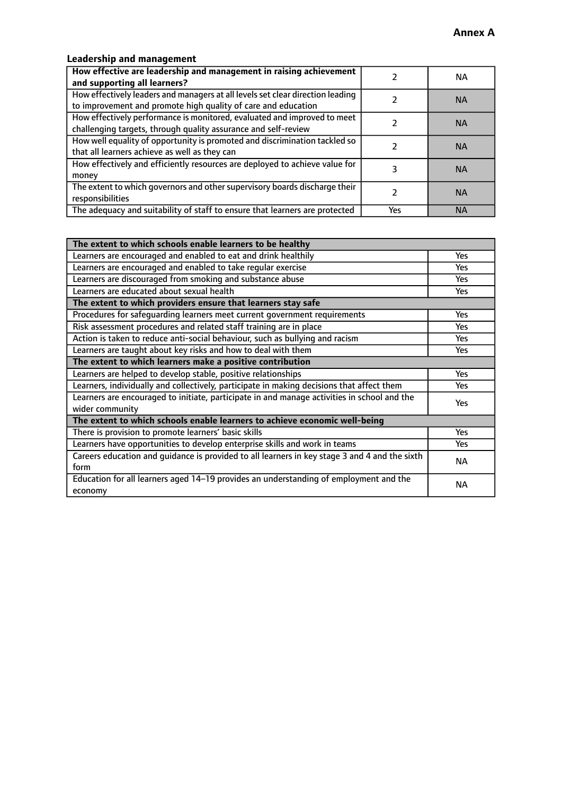### **Leadership and management**

| How effective are leadership and management in raising achievement<br>and supporting all learners?                                              |     | NA.       |
|-------------------------------------------------------------------------------------------------------------------------------------------------|-----|-----------|
| How effectively leaders and managers at all levels set clear direction leading<br>to improvement and promote high quality of care and education |     | <b>NA</b> |
| How effectively performance is monitored, evaluated and improved to meet<br>challenging targets, through quality assurance and self-review      |     | <b>NA</b> |
| How well equality of opportunity is promoted and discrimination tackled so<br>that all learners achieve as well as they can                     |     | <b>NA</b> |
| How effectively and efficiently resources are deployed to achieve value for<br>money                                                            |     | <b>NA</b> |
| The extent to which governors and other supervisory boards discharge their<br>responsibilities                                                  |     | <b>NA</b> |
| The adequacy and suitability of staff to ensure that learners are protected                                                                     | Yes | <b>NA</b> |

| The extent to which schools enable learners to be healthy                                     |            |  |
|-----------------------------------------------------------------------------------------------|------------|--|
| Learners are encouraged and enabled to eat and drink healthily                                | Yes        |  |
| Learners are encouraged and enabled to take regular exercise                                  | Yes        |  |
| Learners are discouraged from smoking and substance abuse                                     | <b>Yes</b> |  |
| Learners are educated about sexual health                                                     | <b>Yes</b> |  |
| The extent to which providers ensure that learners stay safe                                  |            |  |
| Procedures for safequarding learners meet current government requirements                     | Yes        |  |
| Risk assessment procedures and related staff training are in place                            | Yes        |  |
| Action is taken to reduce anti-social behaviour, such as bullying and racism                  | Yes        |  |
| Learners are taught about key risks and how to deal with them                                 | <b>Yes</b> |  |
| The extent to which learners make a positive contribution                                     |            |  |
| Learners are helped to develop stable, positive relationships                                 | Yes        |  |
| Learners, individually and collectively, participate in making decisions that affect them     | Yes        |  |
| Learners are encouraged to initiate, participate in and manage activities in school and the   |            |  |
| wider community                                                                               | <b>Yes</b> |  |
| The extent to which schools enable learners to achieve economic well-being                    |            |  |
| There is provision to promote learners' basic skills                                          | Yes        |  |
| Learners have opportunities to develop enterprise skills and work in teams                    | <b>Yes</b> |  |
| Careers education and guidance is provided to all learners in key stage 3 and 4 and the sixth | <b>NA</b>  |  |
| form                                                                                          |            |  |
| Education for all learners aged 14-19 provides an understanding of employment and the         | NА         |  |
| economy                                                                                       |            |  |